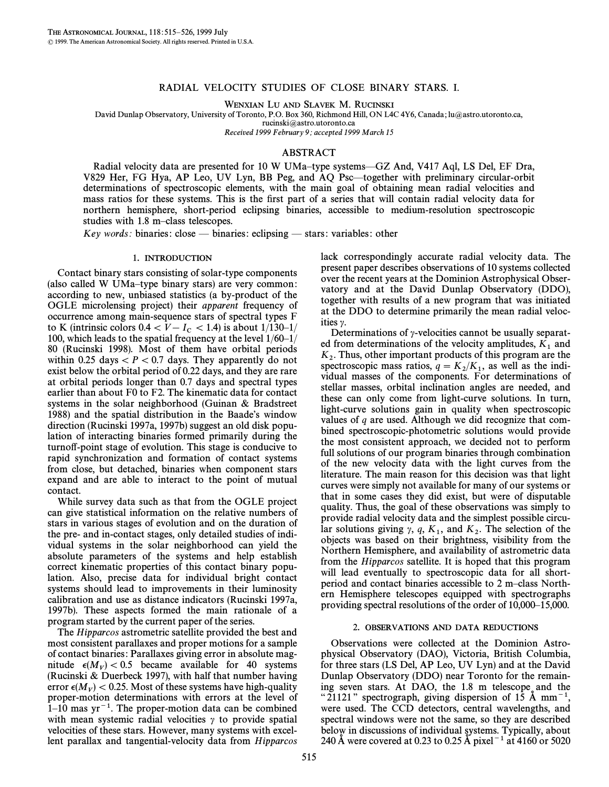# RADIAL VELOCITY STUDIES OF CLOSE BINARY STARS. I.

WENXIAN LU AND SLAVEK M. RUCINSKI

David Dunlap Observatory, University of Toronto, P.O. Box 360, Richmond Hill, ON L4C 4Y6, Canada; lu@astro.utoronto.ca,

rucinski@astro.utoronto.ca

Received 1999 February 9; accepted 1999 March 15

# ABSTRACT

Radial velocity data are presented for 10 W UMa–type systems—GZ And, V417 Aql, LS Del, EF Dra, V829 Her, FG Hya, AP Leo, UV Lyn, BB Peg, and AQ Psc—together with preliminary circular-orbit determinations of spectroscopic elements, with the main goal of obtaining mean radial velocities and mass ratios for these systems. This is the first part of a series that will contain radial velocity data for northern hemisphere, short-period eclipsing binaries, accessible to medium-resolution spectroscopic studies with 1.8 m–class telescopes.

Key words: binaries: close  $-$  binaries: eclipsing  $-$  stars: variables: other

### <sup>1</sup>. INTRODUCTION

Contact binary stars consisting of solar-type components (also called W UMa-type binary stars) are very common: according to new, unbiased statistics (a by-product of the OGLE microlensing project) their apparent frequency of occurrence among main-sequence stars of spectral types F to K (intrinsic colors  $0.4 \lt V - I_c \lt 1.4$ ) is about  $1/130-1/$ <br>100 which leads to the spatial fracture at the layed  $1/60, 1/6$ 100, which leads to the spatial frequency at the level  $1/60-1/$ 80 (Rucinski 1998). Most of them have orbital periods within 0.25 days  $\lt P \lt 0.7$  days. They apparently do not exist below the orbital period of 0.22 days, and they are rare at orbital periods longer than 0.7 days and spectral types earlier than about F0 to F2. The kinematic data for contact systems in the solar neighborhood (Guinan & Bradstreet 1988) and the spatial distribution in the Baade's window direction (Rucinski 1997a, 1997b) suggest an old disk population of interacting binaries formed primarily during the turno†-point stage of evolution. This stage is conducive to rapid synchronization and formation of contact systems from close, but detached, binaries when component stars expand and are able to interact to the point of mutual contact.

While survey data such as that from the OGLE project can give statistical information on the relative numbers of stars in various stages of evolution and on the duration of the pre- and in-contact stages, only detailed studies of individual systems in the solar neighborhood can yield the absolute parameters of the systems and help establish correct kinematic properties of this contact binary population. Also, precise data for individual bright contact systems should lead to improvements in their luminosity calibration and use as distance indicators (Rucinski 1997a, 1997b). These aspects formed the main rationale of a program started by the current paper of the series.

The Hipparcos astrometric satellite provided the best and most consistent parallaxes and proper motions for a sample of contact binaries: Parallaxes giving error in absolute magnitude  $\epsilon(M_V) < 0.5$  became available for 40 systems (Rucinski & Duerbeck 1997), with half that number having error  $\epsilon(M_V) < 0.25$ . Most of these systems have high-quality proper-motion determinations with errors at the level of  $1-10$  mas yr<sup>-1</sup>. The proper-motion data can be combined with mean systemic radial velocities  $\gamma$  to provide spatial velocities of these stars. However, many systems with excellent parallax and tangential-velocity data from Hipparcos lack correspondingly accurate radial velocity data. The present paper describes observations of 10 systems collected over the recent years at the Dominion Astrophysical Observatory and at the David Dunlap Observatory (DDO), together with results of a new program that was initiated at the DDO to determine primarily the mean radial velocities  $\gamma$ .

Determinations of  $\gamma$ -velocities cannot be usually separated from determinations of the velocity amplitudes,  $K_1$  and  $K_2$ . Thus, other important products of this program are the 2000 models are the 2000 models of the 2000 models in the 2000 models in the 2000 models in the 20 spectroscopic mass ratios,  $q = K_2/K_1$ , as well as the individual masses of the components. For determinations of stellar masses, orbital inclination angles are needed, and these can only come from light-curve solutions. In turn, light-curve solutions gain in quality when spectroscopic values of  $q$  are used. Although we did recognize that combined spectroscopic-photometric solutions would provide the most consistent approach, we decided not to perform full solutions of our program binaries through combination of the new velocity data with the light curves from the literature. The main reason for this decision was that light curves were simply not available for many of our systems or that in some cases they did exist, but were of disputable quality. Thus, the goal of these observations was simply to provide radial velocity data and the simplest possible circular solutions giving  $\gamma$ ,  $q$ ,  $K_1$ , and  $K_2$ . The selection of the objects we have the 1 hours that 1 objects was based on their brightness, visibility from the Northern Hemisphere, and availability of astrometric data from the Hipparcos satellite. It is hoped that this program will lead eventually to spectroscopic data for all shortperiod and contact binaries accessible to 2 m–class Northern Hemisphere telescopes equipped with spectrographs providing spectral resolutions of the order of  $10,000-15,000$ .

#### <sup>2</sup>. OBSERVATIONS AND DATA REDUCTIONS

Observations were collected at the Dominion Astrophysical Observatory (DAO), Victoria, British Columbia, for three stars (LS Del, AP Leo, UV Lyn) and at the David Dunlap Observatory (DDO) near Toronto for the remaining seven stars. At DAO, the 1.8 m telescope and the "21121" spectrograph, giving dispersion of 15 Å mm<sup>-1</sup>, were used. The CCD detectors, central wavelengths, and spectral windows were not the same, so they are described below in discussions of individual systems. Typically, about 240 Å were covered at 0.23 to 0.25 Å pixel<sup>-1</sup> at 4160 or 5020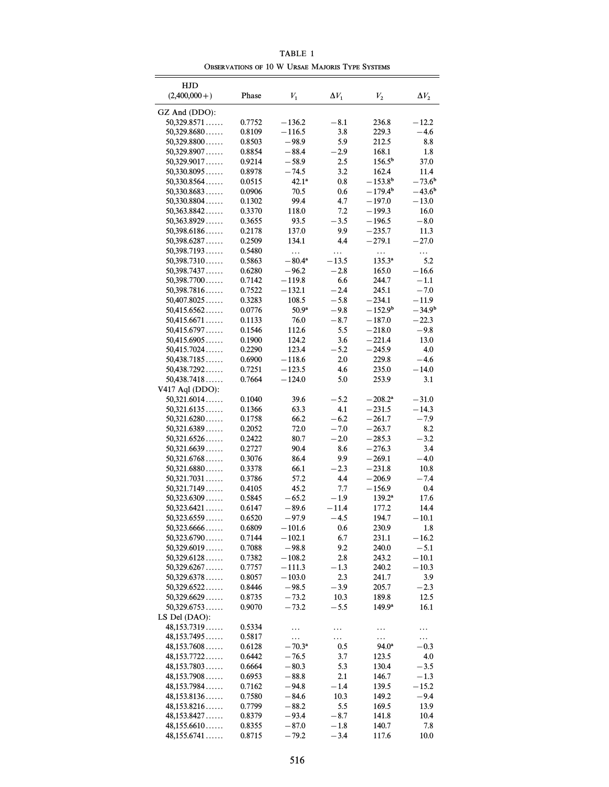| HJD                        |                  |                      |               |                     |                    |
|----------------------------|------------------|----------------------|---------------|---------------------|--------------------|
| $(2,400,000+)$             | Phase            | $V_{1}$              | $\Delta V_1$  | $V_{\rm 2}$         | $\Delta V_2$       |
| GZ And (DDO):              |                  |                      |               |                     |                    |
| 50,329.8571                | 0.7752           | $-136.2$             | $-8.1$        | 236.8               | $-12.2$            |
| 50,329.8680                | 0.8109           | $-116.5$             | 3.8           | 229.3               | $-4.6$             |
| 50,329.8800                | 0.8503           | $-98.9$              | 5.9           | 212.5               | 8.8                |
| 50,329.8907                | 0.8854           | $-88.4$              | - 2.9         | 168.1               | 1.8                |
| 50,329.9017                | 0.9214           | $-58.9$              | 2.5           | $156.5^{b}$         | 37.0               |
| 50,330.8095                | 0.8978           | $-74.5$              | 3.2           | 162.4               | 11.4               |
| 50,330.8564                | 0.0515           | $42.1^a$             | 0.8           | $-153.8^{b}$        | $-73.6b$           |
| 50,330.8683                | 0.0906           | 70.5                 | 0.6           | $-179.4^{\rm b}$    | $-43.6b$           |
| 50,330.8804                | 0.1302           | 99.4                 | 4.7           | $-197.0$            | $-13.0$            |
| 50,363.8842                | 0.3370           | 118.0                | 7.2           | $-199.3$            | 16.0               |
| 50,363.8929                | 0.3655           | 93.5                 | $-3.5$        | $-196.5$            | $-8.0$             |
| 50,398.6186                | 0.2178           | 137.0                | 9.9           | $-235.7$            | 11.3               |
| 50,398.6287                | 0.2509           | 134.1                | 4.4           | $-279.1$            | $-27.0$            |
| 50,398.7193                | 0.5480           | .                    | .             | $\ddotsc$           | $\cdots$           |
| 50,398.7310                | 0.5863           | $-80.4^{\rm a}$      | $-13.5$       | $135.3^{a}$         | 5.2                |
| 50,398.7437                | 0.6280           | $-96.2$              | $-2.8$        | 165.0               | $-16.6$            |
| 50,398.7700                | 0.7142           | $-119.8$             | 6.6           | 244.7               | $-1.1$             |
| 50,398.7816                | 0.7522           | $-132.1$             | $-2.4$        | 245.1               | $-7.0$             |
| 50,407.8025                | 0.3283           | 108.5                | $-5.8$        | $-234.1$            | $-11.9$            |
| 50,415.6562                | 0.0776           | 50.9 <sup>a</sup>    | $-9.8$        | $-152.9^{\rm b}$    | $-34.9b$           |
| 50,415.6671                | 0.1133           | 76.0                 | $-8.7$        | $-187.0$            | $-22.3$            |
| 50,415.6797                | 0.1546           | 112.6                | 5.5           | $-218.0$            | $-9.8$             |
| 50,415.6905                | 0.1900           | 124.2                | 3.6           | $-221.4$            | 13.0               |
| 50,415.7024                | 0.2290           | 123.4                | $-5.2$<br>2.0 | $-245.9$            | 4.0                |
| 50,438.7185<br>50,438.7292 | 0.6900<br>0.7251 | $-118.6$<br>$-123.5$ | 4.6           | 229.8<br>235.0      | $-4.6$<br>$-14.0$  |
| 50,438.7418                | 0.7664           | $-124.0$             | 5.0           | 253.9               | 3.1                |
| V417 Aql (DDO):            |                  |                      |               |                     |                    |
| 50,321.6014                | 0.1040           | 39.6                 | $-5.2$        | $-208.2^{\rm a}$    | $-31.0$            |
| 50,321.6135                | 0.1366           | 63.3                 | 4.1           | $-231.5$            | $-14.3$            |
| 50,321.6280                | 0.1758           | 66.2                 | $-6.2$        | $-261.7$            | $-7.9$             |
| 50,321.6389                | 0.2052           | 72.0                 | $-7.0$        | $-263.7$            | 8.2                |
| 50,321.6526                | 0.2422           | 80.7                 | $-2.0$        | $-285.3$            | $-3.2$             |
| 50,321.6639                | 0.2727           | 90.4                 | 8.6           | $-276.3$            | 3.4                |
| 50,321.6768                | 0.3076           | 86.4                 | 9.9           | $-269.1$            | $-4.0$             |
| 50,321.6880                | 0.3378           | 66.1                 | $-2.3$        | $-231.8$            | 10.8               |
| 50,321.7031                | 0.3786           | 57.2                 | 4.4           | $-206.9$            | $-7.4$             |
| 50,321.7149                | 0.4105           | 45.2                 | 7.7           | $-156.9$            | 0.4                |
| 50,323.6309                | 0.5845           | $-65.2$              | $-1.9$        | $139.2^a$           | 17.6               |
| 50,323.6421                | 0.6147           | $-89.6$              | $-11.4$       | 177.2               | 14.4               |
| 50,323.6559                | 0.6520           | $-97.9$              | $-4.5$        | 194.7               | $-10.1$            |
| 50,323.6666                | 0.6809           | $-101.6$             | 0.6           | 230.9               | 1.8                |
| 50,323.6790                | 0.7144           | $-102.1$             | 6.7           | 231.1               | $-16.2$            |
| 50,329.6019                | 0.7088           | $-98.8$              | 9.2           | 240.0               | $-5.1$             |
| 50,329.6128                | 0.7382           | $-108.2$             | 2.8           | 243.2               | $-10.1$            |
| 50,329.6267                | 0.7757           | $-111.3$             | $-1.3$        | 240.2               | $-10.3$            |
| 50,329.6378                | 0.8057           | $-103.0$             | 2.3           | 241.7               | 3.9                |
| $50,329.6522\dots$         | 0.8446           | $-98.5$              | $-3.9$        | 205.7               | $-2.3$             |
| 50,329.6629                | 0.8735           | $-73.2$              | 10.3          | 189.8               | 12.5               |
| $50,329.6753\dots$         | 0.9070           | $-73.2$              | $-5.5$        | $149.9^{\rm a}$     | 16.1               |
| LS Del (DAO):              |                  |                      |               |                     |                    |
| 48,153.7319<br>48,153.7495 | 0.5334<br>0.5817 | .                    | .             | .                   | .                  |
| 48,153.7608                | 0.6128           | .<br>$-70.3^{\circ}$ | .<br>0.5      | .<br>$94.0^{\rm a}$ | .<br>$^{\rm -0.3}$ |
| 48,153.7722                | 0.6442           | $-76.5$              | 3.7           | 123.5               | 4.0                |
| 48,153.7803                | 0.6664           | $-80.3$              | 5.3           | 130.4               | $-3.5$             |
| 48,153.7908                | 0.6953           | $-88.8$              | 2.1           | 146.7               | $-1.3$             |
| 48,153.7984                | 0.7162           | $-94.8$              | $-1.4$        | 139.5               | $-15.2$            |
| 48,153.8136                | 0.7580           | $-84.6$              | 10.3          | 149.2               | $-9.4$             |
| 48,153.8216                | 0.7799           | $-88.2$              | 5.5           | 169.5               | 13.9               |
| 48,153.8427                | 0.8379           | -93.4                | $-8.7$        | 141.8               | 10.4               |
| 48,155.6610                | 0.8355           | $-87.0$              | $-1.8$        | 140.7               | 7.8                |
| 48,155.6741                | 0.8715           | $-79.2$              | $-3.4$        | 117.6               | 10.0               |

TABLE 1 OBSERVATIONS OF 10 W URSAE MAJORIS TYPE SYSTEMS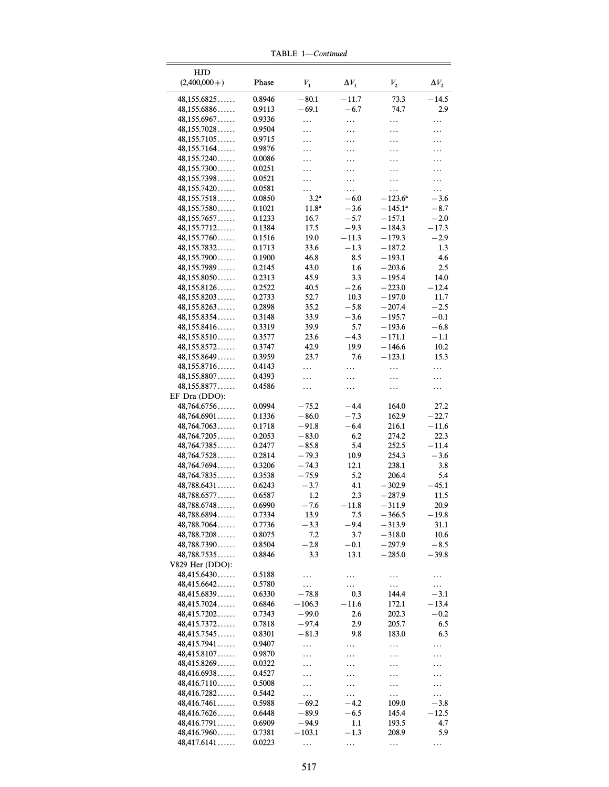|                                   |                  | TABLE 1—Continued      |                  |                                |                    |
|-----------------------------------|------------------|------------------------|------------------|--------------------------------|--------------------|
| HJD                               |                  |                        |                  |                                |                    |
| $(2,400,000+)$                    | Phase            | ${\cal V}_1$           | $\Delta V_1$     | ${\cal V}_2$                   | $\Delta V_2$       |
| 48,155.6825                       | 0.8946           | $-80.1$                | $-11.7$          | 73.3                           | $-14.5$            |
| 48,155.6886                       | 0.9113           | $-69.1$                | $-6.7$           | 74.7                           | 2.9                |
| 48,155.6967                       | 0.9336           | .                      | .                | .                              | .                  |
| 48,155.7028                       | 0.9504           | .                      | .                | .                              | .                  |
| 48,155.7105                       | 0.9715           | .                      | .                | .                              | .                  |
| 48,155.7164                       | 0.9876           | .                      | .                | .                              | .                  |
| 48,155.7240                       | 0.0086           | .                      | .                |                                | .                  |
| 48,155.7300                       | 0.0251           | .                      | .                | .                              | .                  |
| 48,155.7398                       | 0.0521           | .                      | .                | .                              | .                  |
| 48,155.7420                       | 0.0581           | .                      | .                | .                              | .                  |
| 48,155.7518                       | 0.0850           | $3.2^{\rm a}$          | $-6.0$<br>$-3.6$ | $-123.6^{\circ}$<br>$-145.1^a$ | $-3.6$             |
| 48,155.7580<br>48,155.7657        | 0.1021<br>0.1233 | $11.8^{\rm a}$<br>16.7 | $-5.7$           | $-157.1$                       | $-8.7$<br>$-2.0$   |
| 48,155.7712                       | 0.1384           | 17.5                   | $-9.3$           | $-184.3$                       | $-17.3$            |
| 48,155.7760                       | 0.1516           | 19.0                   | $-11.3$          | $-179.3$                       | $-2.9$             |
| 48,155.7832                       | 0.1713           | 33.6                   | $-1.3$           | $-187.2$                       | 1.3                |
| 48,155.7900                       | 0.1900           | 46.8                   | 8.5              | $-193.1$                       | 4.6                |
| $48,155.7989\dots$                | 0.2145           | 43.0                   | 1.6              | $-203.6$                       | 2.5                |
| 48,155.8050                       | 0.2313           | 45.9                   | 3.3              | $-195.4$                       | 14.0               |
| 48,155.8126                       | 0.2522           | 40.5                   | $-2.6$           | $-223.0$                       | $-12.4$            |
| 48,155.8203                       | 0.2733           | 52.7                   | 10.3             | $-197.0$                       | 11.7               |
| 48,155.8263                       | 0.2898           | 35.2                   | $-5.8$           | $-207.4$                       | $-2.5$             |
| 48,155.8354                       | 0.3148           | 33.9                   | $-3.6$           | $-195.7$                       | $-0.1$             |
| 48,155.8416                       | 0.3319           | 39.9                   | 5.7              | $-193.6$                       | $-6.8$             |
| 48,155.8510                       | 0.3577           | 23.6                   | $-4.3$           | $-171.1$                       | $-1.1$             |
| 48,155.8572                       | 0.3747           | 42.9                   | 19.9             | $-146.6$                       | 10.2               |
| 48,155.8649                       | 0.3959           | 23.7                   | 7.6              | $-123.1$                       | 15.3               |
| 48,155.8716                       | 0.4143           | .                      | .                | .                              | .                  |
| 48,155.8807                       | 0.4393           | .                      | .                | .                              | .                  |
| 48,155.8877                       | 0.4586           | .                      | .                | .                              | .                  |
| EF Dra (DDO):                     |                  |                        |                  |                                |                    |
| 48,764.6756                       | 0.0994           | $-75.2$                | $-4.4$           | 164.0                          | 27.2               |
| 48,764.6901<br>48,764.7063        | 0.1336<br>0.1718 | $-86.0$<br>$-91.8$     | $-7.3$<br>$-6.4$ | 162.9<br>216.1                 | $-22.7$<br>$-11.6$ |
| 48,764.7205                       | 0.2053           | $-83.0$                | 6.2              | 274.2                          | 22.3               |
| 48,764.7385                       | 0.2477           | $-85.8$                | 5.4              | 252.5                          | $-11.4$            |
| 48,764.7528                       | 0.2814           | $-79.3$                | 10.9             | 254.3                          | $-3.6$             |
| 48,764.7694                       | 0.3206           | $-74.3$                | 12.1             | 238.1                          | 3.8                |
| 48,764.7835                       | 0.3538           | $-75.9$                | 5.2              | 206.4                          | 5.4                |
| $48,788.6431\dots$                | 0.6243           | $-3.7$                 | 4.1              | $-302.9$                       | $-45.1$            |
| 48,788.6577                       | 0.6587           | 1.2                    | 2.3              | $-287.9$                       | 11.5               |
| 48,788.6748                       | 0.6990           | $-7.6$                 | $-11.8$          | $-311.9$                       | 20.9               |
| 48,788.6894                       | 0.7334           | 13.9                   | 7.5              | $-366.5$                       | $-19.8$            |
| 48,788.7064                       | 0.7736           | $-3.3$                 | $-9.4$           | $-313.9$                       | 31.1               |
| 48,788.7208                       | 0.8075           | 7.2                    | 3.7              | $-318.0$                       | 10.6               |
| 48,788.7390                       | 0.8504           | $-2.8$                 | $-0.1$           | $-297.9$                       | $-8.5$             |
| 48,788.7535                       | 0.8846           | 3.3                    | 13.1             | $-285.0$                       | $-39.8$            |
| V829 Her (DDO):                   |                  |                        |                  |                                |                    |
| 48,415.6430                       | 0.5188           | .                      | .                | .                              | .                  |
| 48,415.6642                       | 0.5780           | $\cdots$               | .                | $\cdots$                       | .                  |
| 48,415.6839                       | 0.6330           | $-78.8$                | 0.3              | 144.4                          | $-3.1$             |
| 48,415.7024                       | 0.6846           | $-106.3$               | $-11.6$          | 172.1                          | $-13.4$            |
| 48,415.7202                       | 0.7343           | $-99.0$                | 2.6              | 202.3                          | $-0.2$             |
| $48,415.7372\dots$<br>48,415.7545 | 0.7818<br>0.8301 | -97.4<br>$-81.3$       | 2.9<br>9.8       | 205.7<br>183.0                 | 6.5<br>6.3         |
|                                   |                  |                        |                  |                                |                    |
| 48,415.7941<br>48,415.8107        | 0.9407<br>0.9870 | .                      | .                | .                              | .                  |
| 48,415.8269                       | 0.0322           | .                      | .                | .                              | .                  |
| 48,416.6938                       | 0.4527           | .                      | .                | .                              | .                  |
| 48,416.7110                       | 0.5008           | .<br>.                 | .<br>.           | .<br>.                         | .<br>.             |
| 48,416.7282                       | 0.5442           | .                      | .                | .                              | .                  |
| 48,416.7461                       | 0.5988           | $-69.2$                | $-4.2$           | 109.0                          | $-3.8$             |
| $48,416.7626\dots$                | 0.6448           | $-89.9$                | $-6.5$           | 145.4                          | $-12.5$            |
| 48,416.7791                       | 0.6909           | -94.9                  | 1.1              | 193.5                          | 4.7                |
| 48,416.7960                       | 0.7381           | $-103.1$               | $-1.3$           | 208.9                          | 5.9                |
| 48,417.6141                       | 0.0223           | .                      |                  | .                              |                    |
|                                   |                  |                        |                  |                                |                    |

TABLE  $1$ —Continued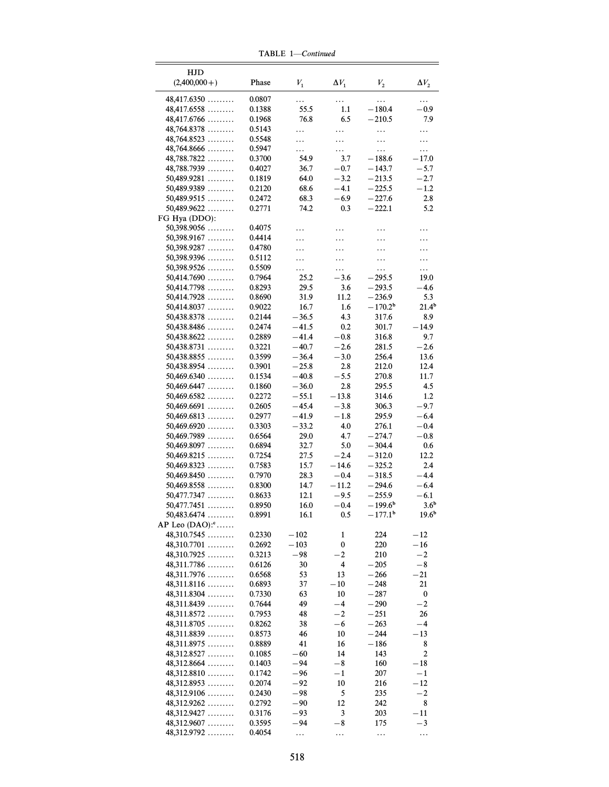| HJD<br>$(2,400,000+)$                       | Phase            | ${\cal V}_1$       | $\Delta V_1$     | $V_2$                     | $\Delta V_2$             |
|---------------------------------------------|------------------|--------------------|------------------|---------------------------|--------------------------|
| 48,417.6350                                 | 0.0807           | .                  | .                | .                         | .                        |
| 48,417.6558                                 | 0.1388           | 55.5               | 1.1              | $-180.4$                  | $-0.9$                   |
| $48,417.6766 \ldots$                        | 0.1968           | 76.8               | 6.5              | $-210.5$                  | 7.9                      |
| $48,764.8378$                               | 0.5143           | .                  | .                | .                         | .                        |
| $48,764.8523 \ldots$                        | 0.5548           | .                  | .                | .                         | .                        |
| $48,764.8666 \ldots$                        | 0.5947           | .                  | .                | .                         | .                        |
| 48,788.7822                                 | 0.3700           | 54.9               | 3.7              | $-188.6$                  | $-17.0$                  |
| 48,788.7939                                 | 0.4027           | 36.7               | $-0.7$           | $-143.7$                  | $-5.7$                   |
| $50,489.9281$                               | 0.1819           | 64.0               | $-3.2$           | $-213.5$                  | $-2.7$                   |
| $50,489.9389$<br>$50,489.9515$              | 0.2120           | 68.6<br>68.3       | $-4.1$<br>$-6.9$ | $-225.5$<br>$-227.6$      | $-1.2$<br>2.8            |
| $50,489.9622$                               | 0.2472<br>0.2771 | 74.2               | 0.3              | $-222.1$                  | 5.2                      |
| FG Hya (DDO):                               |                  |                    |                  |                           |                          |
| $50,398.9056$                               | 0.4075           | .                  | .                | .                         | .                        |
| $50,398.9167$                               | 0.4414           | .                  | .                | .                         | .                        |
| 50,398.9287                                 | 0.4780           | .                  | .                | .                         | .                        |
| $50,398.9396$                               | 0.5112           | .                  | .                | .                         | $\ldots$                 |
| $50,398.9526$                               | 0.5509           | .                  | .                | .                         | .                        |
| $50,414.7690$                               | 0.7964           | 25.2               | $-3.6$           | $-295.5$                  | 19.0                     |
| $50,414.7798$                               | 0.8293           | 29.5               | 3.6              | $-293.5$                  | $-4.6$                   |
| $50,414.7928$                               | 0.8690           | 31.9               | 11.2             | $-236.9$                  | 5.3                      |
| 50,414.8037<br>$50,438.8378$                | 0.9022<br>0.2144 | 16.7<br>$-36.5$    | 1.6<br>4.3       | $-170.2^{\rm b}$<br>317.6 | 21.4 <sup>b</sup><br>8.9 |
| $50,438.8486$                               | 0.2474           | $-41.5$            | 0.2              | 301.7                     | $-14.9$                  |
| $50,438.8622$                               | 0.2889           | $-41.4$            | $-0.8$           | 316.8                     | 9.7                      |
| $50,438.8731$                               | 0.3221           | $-40.7$            | $-2.6$           | 281.5                     | $-2.6$                   |
| 50,438.8855                                 | 0.3599           | $-36.4$            | $-3.0$           | 256.4                     | 13.6                     |
| $50,438.8954$                               | 0.3901           | $-25.8$            | 2.8              | 212.0                     | 12.4                     |
| 50,469.6340                                 | 0.1534           | $-40.8$            | $-5.5$           | 270.8                     | 11.7                     |
| 50,469.6447                                 | 0.1860           | $-36.0$            | 2.8              | 295.5                     | 4.5                      |
| $50,469.6582 \ldots$                        | 0.2272           | $-55.1$            | $-13.8$          | 314.6                     | 1.2                      |
| $50,469.6691$                               | 0.2605           | $-45.4$            | $-3.8$           | 306.3                     | $-9.7$                   |
| $50,469.6813$                               | 0.2977<br>0.3303 | $-41.9$<br>$-33.2$ | $-1.8$<br>4.0    | 295.9<br>276.1            | $-6.4$<br>$-0.4$         |
| $50,469.6920$<br>$50,469.7989$              | 0.6564           | 29.0               | 4.7              | $-274.7$                  | $-0.8$                   |
| $50,469.8097$                               | 0.6894           | 32.7               | 5.0              | $-304.4$                  | 0.6                      |
| $50,469.8215$                               | 0.7254           | 27.5               | $-2.4$           | $-312.0$                  | 12.2                     |
| $50,469.8323$                               | 0.7583           | 15.7               | $-14.6$          | $-325.2$                  | 2.4                      |
| 50,469.8450                                 | 0.7970           | 28.3               | $-0.4$           | $-318.5$                  | $-4.4$                   |
| $50,469.8558$                               | 0.8300           | 14.7               | $-11.2$          | $-294.6$                  | $-6.4$                   |
| 50,477.7347                                 | 0.8633           | 12.1               | $-9.5$           | $-255.9$                  | $-6.1$                   |
| $50,477.7451$                               | 0.8950           | 16.0               | $-0.4$           | $-199.6^{\rm b}$          | 3.6 <sup>b</sup>         |
| $50,483.6474$<br>AP Leo (DAO): <sup>c</sup> | 0.8991           | 16.1               | 0.5              | $-177.1^{\circ}$          | 19.6 <sup>b</sup>        |
| 48,310.7545                                 | 0.2330           | $-102$             | 1                | 224                       | $-12$                    |
| $48,310.7701$                               | 0.2692           | $-103$             | $\bf{0}$         | 220                       | $-16$                    |
| 48,310.7925                                 | 0.3213           | $-98$              | $^{-2}$          | 210                       | $^{-2}$                  |
| $48,311.7786 \ldots$                        | 0.6126           | 30                 | 4                | $-205$                    | $-8$                     |
| $48,311.7976$                               | 0.6568           | 53                 | 13               | $-266$                    | $-21$                    |
| $48,311.8116$                               | 0.6893           | 37                 | $-10$            | $-248$                    | 21                       |
| $48,311.8304$                               | 0.7330           | 63                 | 10               | $-287$                    | 0                        |
| 48,311.8439                                 | 0.7644           | 49                 | $-4$             | $-290$                    | $-2$                     |
| $48,311.8572 \ldots$                        | 0.7953           | 48                 | $-2$             | $-251$                    | 26                       |
| $48,311.8705$                               | 0.8262           | 38                 | $-6$             | $-263$                    | -4                       |
| $48,311.8839$<br>$48,311.8975$              | 0.8573<br>0.8889 | 46<br>41           | 10<br>16         | $-244$<br>$-186$          | $-13$<br>8               |
| 48,312.8527                                 | 0.1085           | $-60$              | 14               | 143                       | $\boldsymbol{2}$         |
| $48,312.8664$                               | 0.1403           | $-94$              | $-8$             | 160                       | $-18$                    |
| 48,312.8810                                 | 0.1742           | $-96$              | $-1$             | 207                       | $-1$                     |
| $48,312.8953$                               | 0.2074           | $-92$              | 10               | 216                       | $-12$                    |
| $48,312.9106$                               | 0.2430           | $-98$              | 5                | 235                       | $-2$                     |
| $48,312.9262 \ldots$                        | 0.2792           | $-90$              | 12               | 242                       | 8                        |
| 48,312.9427                                 | 0.3176           | $-93$              | 3                | 203                       | $-11$                    |
| 48,312.9607                                 | 0.3595           | $-94$              | $-8$             | 175                       | $-3$                     |
| $48,312.9792 \ldots$                        | 0.4054           | .                  | .                |                           |                          |

TABLE  $1$ —Continued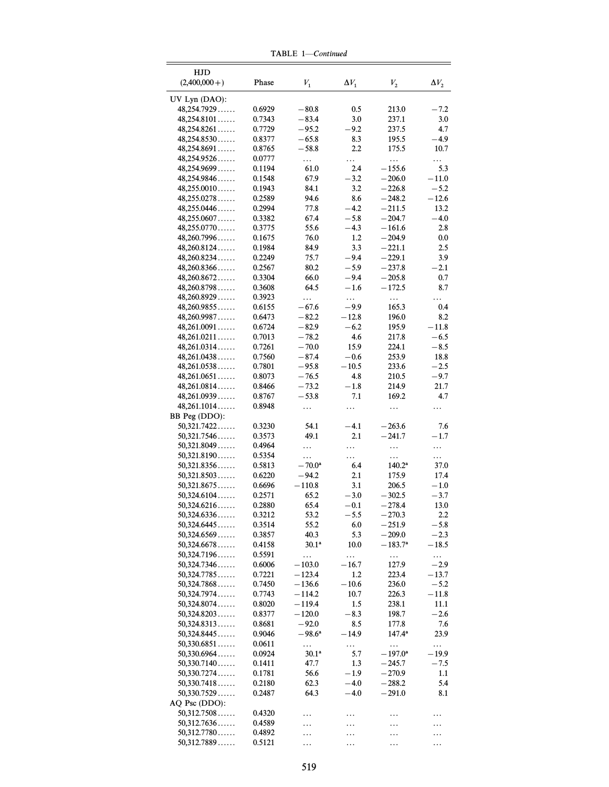| HJD            |        |                   |              |                  |              |
|----------------|--------|-------------------|--------------|------------------|--------------|
| $(2,400,000+)$ | Phase  | ${\cal V}_1$      | $\Delta V_1$ | ${\cal V}_2$     | $\Delta V_2$ |
|                |        |                   |              |                  |              |
| UV Lyn (DAO):  |        |                   |              |                  |              |
| 48.254.7929    | 0.6929 | $-80.8$           | 0.5          | 213.0            | $-7.2$       |
| 48,254.8101    | 0.7343 | $-83.4$           | 3.0          | 237.1            | 3.0          |
|                |        |                   |              |                  |              |
| 48,254.8261    | 0.7729 | $-95.2$           | $-9.2$       | 237.5            | 4.7          |
| 48,254.8530    | 0.8377 | $-65.8$           | 8.3          | 195.5            | $-4.9$       |
| 48,254.8691    | 0.8765 | $-58.8$           | 2.2          | 175.5            | 10.7         |
| 48,254.9526    | 0.0777 | .                 | .            | .                | .            |
| 48,254.9699    | 0.1194 | 61.0              | 2.4          | $-155.6$         | 5.3          |
|                |        |                   |              |                  |              |
| 48,254.9846    | 0.1548 | 67.9              | $-3.2$       | $-206.0$         | $-11.0$      |
| 48,255.0010    | 0.1943 | 84.1              | 3.2          | $-226.8$         | $-5.2$       |
| 48,255.0278    | 0.2589 | 94.6              | 8.6          | $-248.2$         | $-12.6$      |
| 48,255.0446    | 0.2994 | 77.8              | $-4.2$       | $-211.5$         | 13.2         |
| 48,255.0607    | 0.3382 | 67.4              | $-5.8$       | $-204.7$         | $-4.0$       |
| 48,255.0770    | 0.3775 | 55.6              | $-4.3$       | $-161.6$         | 2.8          |
|                |        |                   |              |                  |              |
| 48,260.7996    | 0.1675 | 76.0              | 1.2          | $-204.9$         | $0.0\,$      |
| 48,260.8124    | 0.1984 | 84.9              | 3.3          | $-221.1$         | 2.5          |
| 48,260.8234    | 0.2249 | 75.7              | $-9.4$       | $-229.1$         | 3.9          |
| 48,260.8366    | 0.2567 | 80.2              | $-5.9$       | $-237.8$         | $-2.1$       |
| 48,260.8672    | 0.3304 | 66.0              | $-9.4$       | $-205.8$         | 0.7          |
|                |        |                   |              |                  |              |
| 48,260.8798    | 0.3608 | 64.5              | $-1.6$       | $-172.5$         | 8.7          |
| 48,260.8929    | 0.3923 | .                 | $\ldots$     | .                | .            |
| 48,260.9855    | 0.6155 | $-67.6$           | -9.9         | 165.3            | 0.4          |
| 48,260.9987    | 0.6473 | $-82.2$           | $-12.8$      | 196.0            | 8.2          |
| 48,261.0091    | 0.6724 | $-82.9$           | $-6.2$       | 195.9            | $-11.8$      |
| 48,261.0211    | 0.7013 | $-78.2$           | 4.6          | 217.8            | $-6.5$       |
|                |        |                   |              |                  |              |
| 48,261.0314    | 0.7261 | $-70.0$           | 15.9         | 224.1            | $-8.5$       |
| 48,261.0438    | 0.7560 | $-87.4$           | $-0.6$       | 253.9            | 18.8         |
| 48,261.0538    | 0.7801 | $-95.8$           | $-10.5$      | 233.6            | $-2.5$       |
| 48,261.0651    | 0.8073 | $-76.5$           | 4.8          | 210.5            | $-9.7$       |
| 48,261.0814    | 0.8466 | $-73.2$           | $-1.8$       | 214.9            | 21.7         |
| 48,261.0939    |        | $-53.8$           | 7.1          | 169.2            | 4.7          |
|                | 0.8767 |                   |              |                  |              |
| 48,261.1014    | 0.8948 | .                 | .            | .                | .            |
| BB Peg (DDO):  |        |                   |              |                  |              |
| 50,321.7422    | 0.3230 | 54.1              | $-4.1$       | $-263.6$         | 7.6          |
| 50,321.7546    | 0.3573 | 49.1              | 2.1          | $-241.7$         | $-1.7$       |
| 50,321.8049    | 0.4964 |                   |              |                  |              |
|                |        | .                 | .            | .                | .            |
| 50,321.8190    | 0.5354 | .                 | .            | .                | .            |
| 50,321.8356    | 0.5813 | $-70.0^{\circ}$   | 6.4          | $140.2^a$        | 37.0         |
| 50,321.8503    | 0.6220 | $-94.2$           | 2.1          | 175.9            | 17.4         |
| 50,321.8675    | 0.6696 | $-110.8$          | 3.1          | 206.5            | $-1.0$       |
| 50,324.6104    | 0.2571 | 65.2              | $-3.0$       | $-302.5$         | $-3.7$       |
| 50,324.6216    | 0.2880 | 65.4              | $-0.1$       | $-278.4$         | 13.0         |
|                |        |                   |              |                  |              |
| 50,324.6336    | 0.3212 | 53.2              | $-5.5$       | $-270.3$         | 2.2          |
| 50,324.6445    | 0.3514 | 55.2              | 6.0          | $-251.9$         | $-5.8$       |
| 50,324.6569    | 0.3857 | 40.3              | 5.3          | $-209.0$         | $-2.3$       |
| 50,324.6678    | 0.4158 | 30.1 <sup>a</sup> | 10.0         | $-183.7^{\rm a}$ | $-18.5$      |
| 50,324.7196    | 0.5591 | .                 | .            |                  | .            |
| 50,324.7346    | 0.6006 | $-103.0$          | $-16.7$      | 127.9            | $-2.9$       |
|                |        |                   |              |                  |              |
| 50,324.7785    | 0.7221 | $-123.4$          | 1.2          | 223.4            | $-13.7$      |
| 50,324.7868    | 0.7450 | $-136.6$          | $-10.6$      | 236.0            | $-5.2$       |
| 50,324.7974    | 0.7743 | $-114.2$          | 10.7         | 226.3            | $-11.8$      |
| 50,324.8074    | 0.8020 | –119.4            | 1.5          | 238.1            | 11.1         |
| 50,324.8203    | 0.8377 | $-120.0$          | $-8.3$       | 198.7            | $-2.6$       |
|                |        |                   |              | 177.8            |              |
| 50,324.8313    | 0.8681 | $-92.0$           | 8.5          |                  | 7.6          |
| 50,324.8445    | 0.9046 | $-98.6^{\circ}$   | -14.9        | $147.4^a$        | 23.9         |
| 50,330.6851    | 0.0611 | .                 | .            | $\ldots$         | .            |
| 50,330.6964    | 0.0924 | $30.1^{\circ}$    | 5.7          | $-197.0^{\rm a}$ | – 19.9       |
| 50,330.7140    | 0.1411 | 47.7              | 1.3          | $-245.7$         | $-7.5$       |
| 50,330.7274    | 0.1781 | 56.6              | $-1.9$       | $-270.9$         | 1.1          |
|                |        |                   |              |                  |              |
| 50,330.7418    | 0.2180 | 62.3              | $-4.0$       | $-288.2$         | 5.4          |
| 50,330.7529    | 0.2487 | 64.3              | $-4.0$       | $^{-291.0}$      | 8.1          |
| AQ Psc (DDO):  |        |                   |              |                  |              |
| 50,312.7508    | 0.4320 |                   |              | .                |              |
| 50,312.7636    | 0.4589 |                   |              | .                |              |
| 50,312.7780    |        |                   |              |                  |              |
|                | 0.4892 | .                 |              |                  |              |
| 50,312.7889    | 0.5121 |                   | .            | .                | .            |

TABLE  $1$ —Continued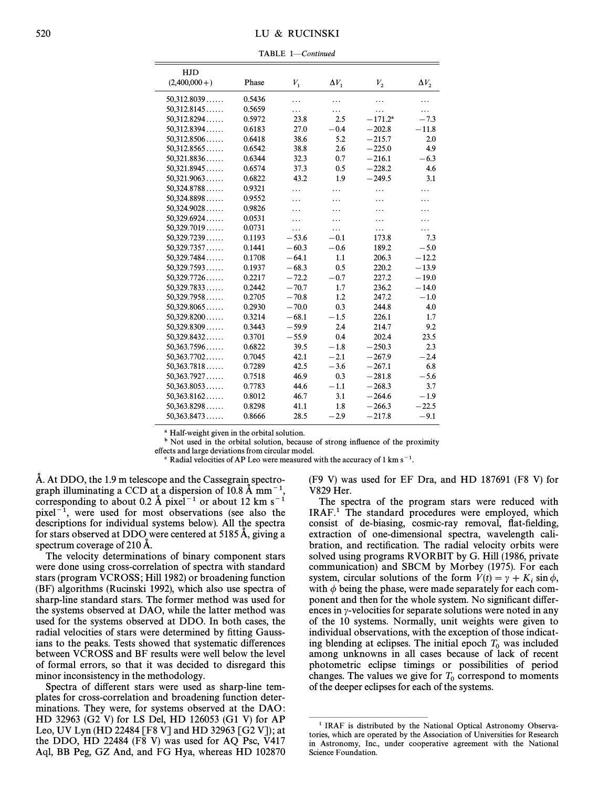## 520 LU & RUCINSKI

TABLE 1-Continued

| <b>HJD</b>     |        |         |              |            |              |
|----------------|--------|---------|--------------|------------|--------------|
| $(2,400,000+)$ | Phase  | $V_1$   | $\Delta V_1$ | $V_{2}$    | $\Delta V_2$ |
| 50,312.8039    | 0.5436 | .       | .            | .          | .            |
| 50,312.8145    | 0.5659 | .       | .            | .          | $\cdots$     |
| 50,312.8294    | 0.5972 | 23.8    | 2.5          | $-171.2^a$ | $-7.3$       |
| 50,312.8394    | 0.6183 | 27.0    | $-0.4$       | $-202.8$   | $-11.8$      |
| 50,312.8506    | 0.6418 | 38.6    | 5.2          | $-215.7$   | 2.0          |
| 50,312.8565    | 0.6542 | 38.8    | 2.6          | $-225.0$   | 4.9          |
| 50,321.8836    | 0.6344 | 32.3    | 0.7          | $-216.1$   | $-6.3$       |
| 50,321.8945    | 0.6574 | 37.3    | 0.5          | $-228.2$   | 4.6          |
| 50,321.9063    | 0.6822 | 43.2    | 1.9          | $-249.5$   | 3.1          |
| 50,324.8788    | 0.9321 | .       | .            | .          | .            |
| 50,324.8898    | 0.9552 |         | .            | .          |              |
| 50,324.9028    | 0.9826 | .       | .            | .          |              |
| 50,329.6924    | 0.0531 | .       | .            | .          |              |
| 50,329.7019    | 0.0731 | .       | .            | .          |              |
| 50,329.7239    | 0.1193 | $-53.6$ | $-0.1$       | 173.8      | 7.3          |
| 50,329.7357    | 0.1441 | $-60.3$ | $-0.6$       | 189.2      | $-5.0$       |
| 50,329.7484    | 0.1708 | $-64.1$ | 1.1          | 206.3      | $-12.2$      |
| 50,329.7593    | 0.1937 | $-68.3$ | 0.5          | 220.2      | $-13.9$      |
| 50,329.7726    | 0.2217 | $-72.2$ | $-0.7$       | 227.2      | $-19.0$      |
| 50,329.7833    | 0.2442 | $-70.7$ | 1.7          | 236.2      | $-14.0$      |
| 50,329.7958    | 0.2705 | $-70.8$ | 1.2          | 247.2      | $-1.0$       |
| 50,329.8065    | 0.2930 | $-70.0$ | 0.3          | 244.8      | 4.0          |
| 50,329.8200    | 0.3214 | $-68.1$ | $-1.5$       | 226.1      | 1.7          |
| 50,329.8309    | 0.3443 | $-59.9$ | 2.4          | 214.7      | 9.2          |
| 50,329.8432    | 0.3701 | $-55.9$ | 0.4          | 202.4      | 23.5         |
| 50,363.7596    | 0.6822 | 39.5    | $-1.8$       | $-250.3$   | 2.3          |
| 50,363.7702    | 0.7045 | 42.1    | $-2.1$       | $-267.9$   | $-2.4$       |
| 50,363.7818    | 0.7289 | 42.5    | $-3.6$       | $-267.1$   | 6.8          |
| 50,363.7927    | 0.7518 | 46.9    | 0.3          | $-281.8$   | $-5.6$       |
| 50,363.8053    | 0.7783 | 44.6    | $-1.1$       | $-268.3$   | 3.7          |
| 50,363.8162    | 0.8012 | 46.7    | 3.1          | $-264.6$   | $-1.9$       |
| 50,363.8298    | 0.8298 | 41.1    | 1.8          | $-266.3$   | $-22.5$      |
| 50.363.8473    | 0.8666 | 28.5    | $-2.9$       | $-217.8$   | $-9.1$       |

<sup>a</sup> Half-weight given in the orbital solution.

<sup>b</sup> Not used in the orbital solution, because of strong influence of the proximity e†ects and large deviations from circular model.

 $\degree$  Radial velocities of AP Leo were measured with the accuracy of 1 km s<sup>-1</sup>.

A. At DDO, the 1.9 m telescope and the Cassegrain spectrograph illuminating a CCD at a dispersion of 10.8 Å mm<sup>-1</sup>, corresponding to about 0.2 Å pixel<sup>-1</sup> or about 12 km s<sup>-1</sup> pixel<sup> $-1$ </sup>, were used for most observations (see also the descriptions for individual systems below). All the spectra for stars observed at DDO were centered at 5185 A, giving a spectrum coverage of 210 A.

The velocity determinations of binary component stars were done using cross-correlation of spectra with standard stars (program VCROSS; Hill 1982) or broadening function (BF) algorithms (Rucinski 1992), which also use spectra of sharp-line standard stars. The former method was used for the systems observed at DAO, while the latter method was used for the systems observed at DDO. In both cases, the radial velocities of stars were determined by fitting Gaussians to the peaks. Tests showed that systematic differences between VCROSS and BF results were well below the level of formal errors, so that it was decided to disregard this minor inconsistency in the methodology.

Spectra of different stars were used as sharp-line templates for cross-correlation and broadening function determinations. They were, for systems observed at the DAO: HD 32963 (G2 V) for LS Del, HD 126053 (G1 V) for AP Leo, UV Lyn (HD 22484 [F8 V] and HD 32963 [G2 V]); at the DDO, HD 22484 (F8 V) was used for AQ Psc, V417 Aql, BB Peg, GZ And, and FG Hya, whereas HD 102870

(F9 V) was used for EF Dra, and HD 187691 (F8 V) for V829 Her.

The spectra of the program stars were reduced with IRAF.<sup>1</sup> The standard procedures were employed, which consist of de-biasing, cosmic-ray removal, flat-fielding, extraction of one-dimensional spectra, wavelength calibration, and rectification. The radial velocity orbits were solved using programs RVORBIT by G. Hill (1986, private communication) and SBCM by Morbey (1975). For each system, circular solutions of the form  $V(t) = \gamma + K_i \sin \phi$ , with  $\phi$  being the phase, were made separately for each component and then for the whole system. No significant differences in  $\gamma$ -velocities for separate solutions were noted in any of the 10 systems. Normally, unit weights were given to individual observations, with the exception of those indicating blending at eclipses. The initial epoch  $T_0$  was included among unknowns in all cases because of lack of recent photometric eclipse timings or possibilities of period changes. The values we give for  $T_0$  correspond to moments of the degree points of the systems. of the deeper eclipses for each of the systems.

ÈÈÈÈÈÈÈÈÈÈÈÈÈÈÈ

<sup>&</sup>lt;sup>1</sup> IRAF is distributed by the National Optical Astronomy Observatories, which are operated by the Association of Universities for Research in Astronomy, Inc., under cooperative agreement with the National Science Foundation.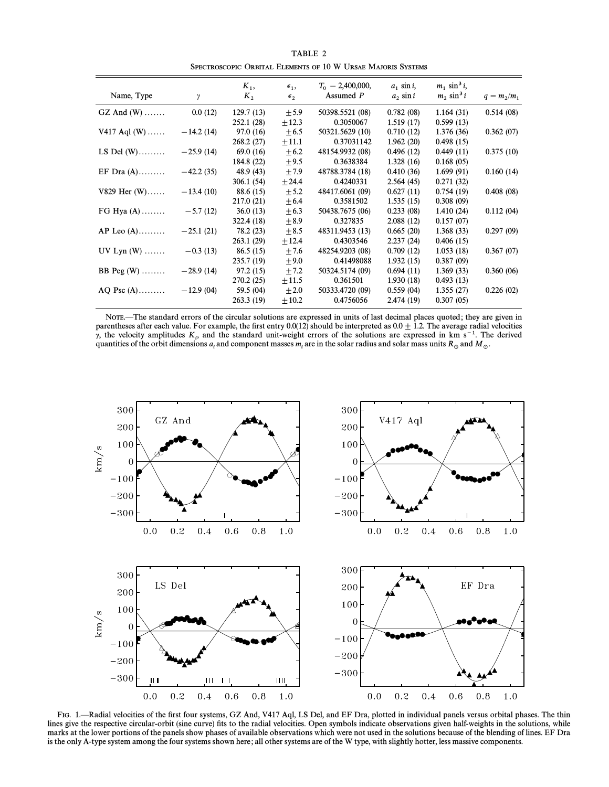| TABLE 2                                                      |
|--------------------------------------------------------------|
| SPECTROSCOPIC ORBITAL ELEMENTS OF 10 W URSAE MAJORIS SYSTEMS |

| Name, Type       | γ           | $K_1$ ,<br>$K_{2}$ | $\epsilon_{1}$<br>$\epsilon_{2}$ | $T_0$ – 2,400,000,<br>Assumed P | $a_1$ sin i,<br>$a_2$ sin i | $m_1 \sin^3 i$ ,<br>$m_2 \sin^3 i$ | $q = m_2/m_1$ |
|------------------|-------------|--------------------|----------------------------------|---------------------------------|-----------------------------|------------------------------------|---------------|
| $GZ$ And $(W)$   | 0.0(12)     | 129.7(13)          | ± 5.9                            | 50398.5521 (08)                 | 0.782(08)                   | 1.164(31)                          | 0.514(08)     |
|                  |             | 252.1 (28)         | $\pm 12.3$                       | 0.3050067                       | 1.519(17)                   | 0.599(13)                          |               |
| $V417$ Aql $(W)$ | $-14.2(14)$ | 97.0(16)           | $\pm 6.5$                        | 50321.5629 (10)                 | 0.710(12)                   | 1.376 (36)                         | 0.362(07)     |
|                  |             | 268.2(27)          | ±11.1                            | 0.37031142                      | 1.962(20)                   | 0.498(15)                          |               |
| LS Del $(W)$     | $-25.9(14)$ | 69.0(16)           | $+6.2$                           | 48154.9932 (08)                 | 0.496(12)                   | 0.449(11)                          | 0.375(10)     |
|                  |             | 184.8 (22)         | $\pm$ 9.5                        | 0.3638384                       | 1.328(16)                   | 0.168(05)                          |               |
| EF Dra $(A)$     | $-42.2(35)$ | 48.9 (43)          | ±7.9                             | 48788.3784 (18)                 | 0.410(36)                   | 1.699(91)                          | 0.160(14)     |
|                  |             | 306.1(54)          | ± 24.4                           | 0.4240331                       | 2.564(45)                   | 0.271(32)                          |               |
| $V829$ Her $(W)$ | $-13.4(10)$ | 88.6 (15)          | $\pm$ 5.2                        | 48417.6061 (09)                 | 0.627(11)                   | 0.754(19)                          | 0.408(08)     |
|                  |             | 217.0 (21)         | $\pm 6.4$                        | 0.3581502                       | 1.535(15)                   | 0.308(09)                          |               |
| FG Hya $(A)$     | $-5.7(12)$  | 36.0(13)           | $\pm 6.3$                        | 50438.7675 (06)                 | 0.233(08)                   | 1.410(24)                          | 0.112(04)     |
|                  |             | 322.4 (18)         | ± 8.9                            | 0.327835                        | 2.088(12)                   | 0.157(07)                          |               |
| $AP$ Leo $(A)$   | $-25.1(21)$ | 78.2 (23)          | $\pm 8.5$                        | 48311.9453 (13)                 | 0.665(20)                   | 1.368(33)                          | 0.297(09)     |
|                  |             | 263.1(29)          | ± 12.4                           | 0.4303546                       | 2.237(24)                   | 0.406(15)                          |               |
| UV Lyn $(W)$     | $-0.3(13)$  | 86.5(15)           | ±7.6                             | 48254.9203 (08)                 | 0.709(12)                   | 1.053(18)                          | 0.367(07)     |
|                  |             | 235.7(19)          | $\pm 9.0$                        | 0.41498088                      | 1.932(15)                   | 0.387(09)                          |               |
| BB Peg $(W)$     | $-28.9(14)$ | 97.2(15)           | $\pm 7.2$                        | 50324.5174 (09)                 | 0.694(11)                   | 1.369(33)                          | 0.360(06)     |
|                  |             | 270.2(25)          | ±11.5                            | 0.361501                        | 1.930(18)                   | 0.493(13)                          |               |
| $AO$ Psc $(A)$   | $-12.9(04)$ | 59.5 (04)          | $\pm 2.0$                        | 50333.4720 (09)                 | 0.559(04)                   | 1.355(27)                          | 0.226(02)     |
|                  |             | 263.3(19)          | $\pm 10.2$                       | 0.4756056                       | 2.474(19)                   | 0.307(05)                          |               |
|                  |             |                    |                                  |                                 |                             |                                    |               |

NOTE.—The standard errors of the circular solutions are expressed in units of last decimal places quoted; they are given in parentheses after each value. For example, the first entry 0.0(12) should be interpreted as  $0.0 \pm 1.2$ . The average radial velocities y, the velocity amplitudes  $K_i$ , and the standard unit-weight errors of the solutions are expressed in km s<sup>-1</sup>. The derived quantities of the orbit dimensions  $a_i$  and component masses  $m_i$  are in the solar radius and solar mass units  $R_\odot$  and  $M_\odot$ .



FIG. 1.-Radial velocities of the first four systems, GZ And, V417 Aql, LS Del, and EF Dra, plotted in individual panels versus orbital phases. The thin lines give the respective circular-orbit (sine curve) fits to the radial velocities. Open symbols indicate observations given half-weights in the solutions, while marks at the lower portions of the panels show phases of available observations which were not used in the solutions because of the blending of lines. EF Dra is the only A-type system among the four systems shown here; all other systems are of the W type, with slightly hotter, less massive components.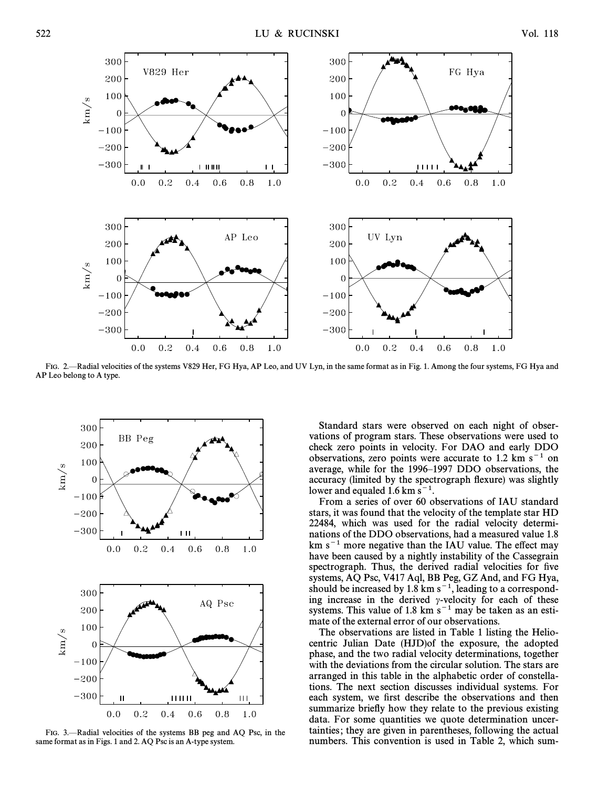

FIG. 2. Radial velocities of the systems V829 Her, FG Hya, AP Leo, and UV Lyn, in the same format as in Fig. 1. Among the four systems, FG Hya and AP Leo belong to A type.



FIG. 3.-Radial velocities of the systems BB peg and AQ Psc, in the same format as in Figs. 1 and 2. AQ Psc is an A-type system.

Standard stars were observed on each night of observations of program stars. These observations were used to check zero points in velocity. For DAO and early DDO observations, zero points were accurate to 1.2 km  $s^{-1}$  on average, while for the 1996–1997 DDO observations, the accuracy (limited by the spectrograph flexure) was slightly lower and equaled 1.6 km  $s^{-1}$ .

From a series of over 60 observations of IAU standard stars, it was found that the velocity of the template star HD 22484, which was used for the radial velocity determinations of the DDO observations, had a measured value 1.8  $km s<sup>-1</sup>$  more negative than the IAU value. The effect may have been caused by a nightly instability of the Cassegrain spectrograph. Thus, the derived radial velocities for five systems, AQ Psc, V417 Aql, BB Peg, GZ And, and FG Hya, should be increased by 1.8 km  $s^{-1}$ , leading to a corresponding increase in the derived  $\gamma$ -velocity for each of these systems. This value of 1.8 km  $s^{-1}$  may be taken as an estimate of the external error of our observations.

The observations are listed in Table 1 listing the Heliocentric Julian Date (HJD)of the exposure, the adopted phase, and the two radial velocity determinations, together with the deviations from the circular solution. The stars are arranged in this table in the alphabetic order of constellations. The next section discusses individual systems. For each system, we first describe the observations and then summarize briefly how they relate to the previous existing data. For some quantities we quote determination uncertainties; they are given in parentheses, following the actual numbers. This convention is used in Table 2, which sum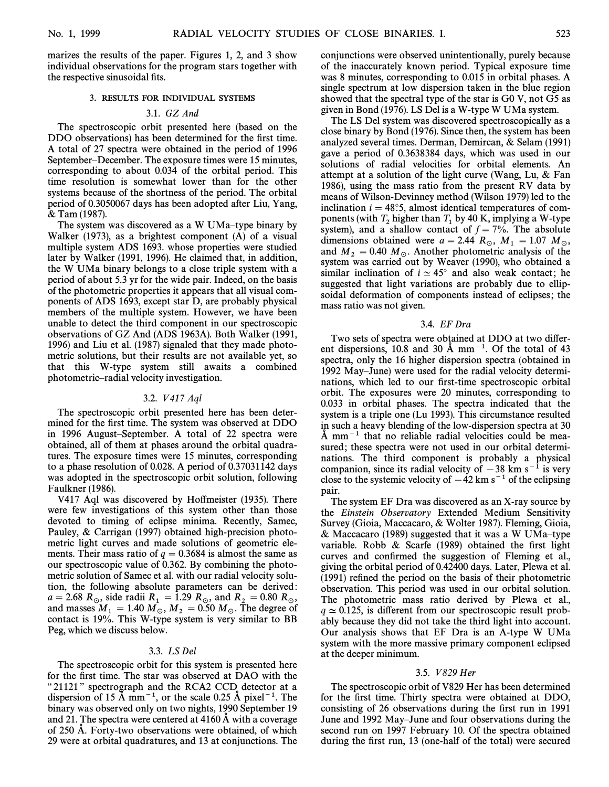marizes the results of the paper. Figures 1, 2, and 3 show individual observations for the program stars together with the respective sinusoidal fits.

## <sup>3</sup>. RESULTS FOR INDIVIDUAL SYSTEMS

## 3.1. GZ And

The spectroscopic orbit presented here (based on the DDO observations) has been determined for the first time. A total of 27 spectra were obtained in the period of 1996 September–December. The exposure times were 15 minutes, corresponding to about 0.034 of the orbital period. This time resolution is somewhat lower than for the other systems because of the shortness of the period. The orbital period of 0.3050067 days has been adopted after Liu, Yang, & Tam (1987).

The system was discovered as a W UMa–type binary by Walker (1973), as a brightest component (A) of a visual multiple system ADS 1693. whose properties were studied later by Walker (1991, 1996). He claimed that, in addition, the W UMa binary belongs to a close triple system with a period of about 5.3 yr for the wide pair. Indeed, on the basis of the photometric properties it appears that all visual components of ADS 1693, except star D, are probably physical members of the multiple system. However, we have been unable to detect the third component in our spectroscopic observations of GZ And (ADS 1963A). Both Walker (1991, 1996) and Liu et al. (1987) signaled that they made photometric solutions, but their results are not available yet, so that this W-type system still awaits a combined photometric-radial velocity investigation.

### 3.2. V 417 Aql

The spectroscopic orbit presented here has been determined for the first time. The system was observed at DDO in 1996 August–September. A total of 22 spectra were obtained, all of them at phases around the orbital quadratures. The exposure times were 15 minutes, corresponding to a phase resolution of 0.028. A period of 0.37031142 days was adopted in the spectroscopic orbit solution, following Faulkner (1986).

V417 Aql was discovered by Hoffmeister (1935). There were few investigations of this system other than those devoted to timing of eclipse minima. Recently, Samec, Pauley, & Carrigan (1997) obtained high-precision photometric light curves and made solutions of geometric elements. Their mass ratio of  $q = 0.3684$  is almost the same as our spectroscopic value of 0.362. By combining the photometric solution of Samec et al. with our radial velocity solution, the following absolute parameters can be derived:  $a = 2.68$  R<sub>\opp</sub>, side radii  $R_1 = 1.29$  R<sub>\opp</sub> and  $R_2 = 0.80$  R<sub>\opp</sub><br>and masses M<sub>n</sub> and M<sub>n</sub> and and The degree of and masses  $M_1 = 1.40 M_\odot$ ,  $M_2 = 0.50 M_\odot$ . The degree of context is 10%. contact is 19%. This W-type system is very similar to BB Peg, which we discuss below.

## 3.3. LS Del

The spectroscopic orbit for this system is presented here for the first time. The star was observed at DAO with the "21121" spectrograph and the RCA2 CCD detector at a dispersion of 15 Å mm<sup>-1</sup>, or the scale 0.25 Å pixel<sup>-1</sup>. The binary was observed only on two nights, 1990 September 19 and 21. The spectra were centered at 4160 A with a coverage of 250 A. Forty-two observations were obtained, of which 29 were at orbital quadratures, and 13 at conjunctions. The conjunctions were observed unintentionally, purely because of the inaccurately known period. Typical exposure time was 8 minutes, corresponding to 0.015 in orbital phases. A single spectrum at low dispersion taken in the blue region showed that the spectral type of the star is G0 V, not G5 as given in Bond (1976). LS Del is a W-type W UMa system.

The LS Del system was discovered spectroscopically as a close binary by Bond (1976). Since then, the system has been analyzed several times. Derman, Demircan, & Selam (1991) gave a period of 0.3638384 days, which was used in our solutions of radial velocities for orbital elements. An attempt at a solution of the light curve (Wang, Lu, & Fan 1986), using the mass ratio from the present RV data by means of Wilson-Devinney method (Wilson 1979) led to the inclination  $i = 48°.5$ , almost identical temperatures of components (with  $T_2$  higher than  $T_1$  by 40 K, implying a W-type 2 and 2 a shallow 2 center of  $f_1$   $\frac{70}{70}$ . The absolute system), and a shallow contact of  $f = 7%$ . The absolute dimensions obtained were  $a = 2.44$  R<sub>o</sub>,  $M_1 = 1.07$  M<sub>o</sub>, and  $M_2 = 0.40 M_\odot$ . Another photometric analysis of the 2<br>existence 200 M\_ M\_Meason (1000) who alterned a system was carried out by Weaver (1990), who obtained a similar inclination of  $i \approx 45^\circ$  and also weak contact; he suggested that light variations are probably due to ellipsoidal deformation of components instead of eclipses; the mass ratio was not given.

#### 3.4. EF Dra

Two sets of spectra were obtained at DDO at two different dispersions, 10.8 and 30 Å mm<sup> $-1$ </sup>. Of the total of 43 spectra, only the 16 higher dispersion spectra (obtained in 1992 May–June) were used for the radial velocity determinations, which led to our first-time spectroscopic orbital orbit. The exposures were 20 minutes, corresponding to 0.033 in orbital phases. The spectra indicated that the system is a triple one (Lu 1993). This circumstance resulted in such a heavy blending of the low-dispersion spectra at 30  $\AA$  mm<sup> $-1$ </sup> that no reliable radial velocities could be measured; these spectra were not used in our orbital determinations. The third component is probably a physical companion, since its radial velocity of  $-38$  km s<sup>-1</sup> is very close to the systemic velocity of  $-42 \text{ km s}^{-1}$  of the eclipsing pair.

The system EF Dra was discovered as an X-ray source by the Einstein Observatory Extended Medium Sensitivity Survey (Gioia, Maccacaro, & Wolter 1987). Fleming, Gioia, & Maccacaro (1989) suggested that it was a W UMa–type variable. Robb  $&$  Scarfe (1989) obtained the first light curves and confirmed the suggestion of Fleming et al., giving the orbital period of 0.42400 days. Later, Plewa et al. (1991) refined the period on the basis of their photometric observation. This period was used in our orbital solution. The photometric mass ratio derived by Plewa et al.,  $q \approx 0.125$ , is different from our spectroscopic result probably because they did not take the third light into account. Our analysis shows that EF Dra is an A-type W UMa system with the more massive primary component eclipsed at the deeper minimum.

### 3.5. V 829 Her

The spectroscopic orbit of V829 Her has been determined for the first time. Thirty spectra were obtained at DDO, consisting of 26 observations during the first run in 1991 June and 1992 May–June and four observations during the second run on 1997 February 10. Of the spectra obtained during the first run, 13 (one-half of the total) were secured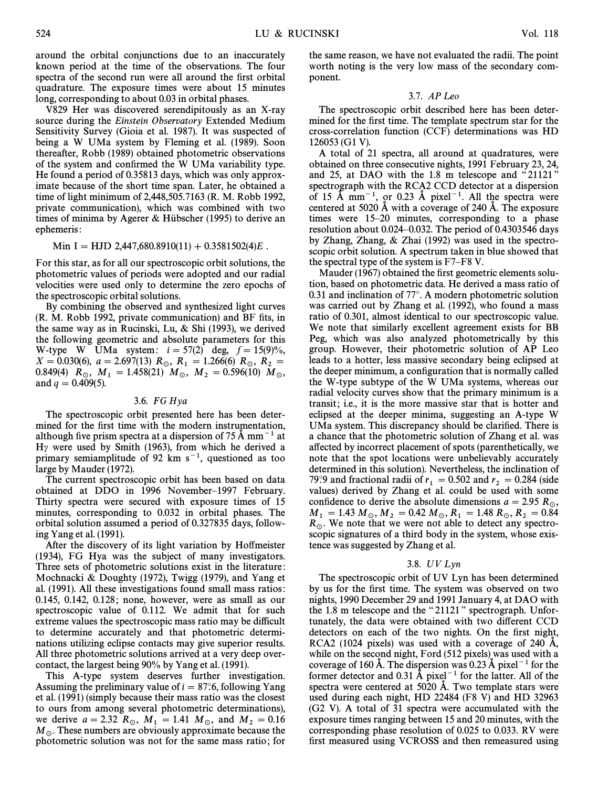around the orbital conjunctions due to an inaccurately known period at the time of the observations. The four spectra of the second run were all around the first orbital quadrature. The exposure times were about 15 minutes long, corresponding to about 0.03 in orbital phases.

V829 Her was discovered serendipitously as an X-ray source during the Einstein Observatory Extended Medium Sensitivity Survey (Gioia et al. 1987). It was suspected of being a W UMa system by Fleming et al. (1989). Soon thereafter, Robb (1989) obtained photometric observations of the system and confirmed the W UMa variability type. He found a period of 0.35813 days, which was only approximate because of the short time span. Later, he obtained a time of light minimum of 2,448,505.7163 (R. M. Robb 1992, private communication), which was combined with two times of minima by Agerer & Hubscher (1995) to derive an ephemeris:

Min I \ HJD 2,447,680.8910(11)] 0.3581502(4)E .

For this star, as for all our spectroscopic orbit solutions, the photometric values of periods were adopted and our radial velocities were used only to determine the zero epochs of the spectroscopic orbital solutions.

By combining the observed and synthesized light curves (R. M. Robb 1992, private communication) and BF Ðts, in the same way as in Rucinski, Lu, & Shi (1993), we derived the following geometric and absolute parameters for this W-type W UMa system:  $i=57(2)$  deg,  $f=15(9)%$ ,  $X = 0.030(6), a = 2.697(13)$   $R_{\odot}$ ,  $R_1 = 1.266(6)$   $R_{\odot}$ ,  $R_2 = 0.840(4)$   $R_1 = 1.458(21)$   $M_1 = M_2 = 0.50(40)$   $M_2 = 0.026(60)$ 0.849(4)  $\overline{R}_{\odot}$ ,  $M_1 = 1.458(21)$   $M_{\odot}$ ,  $M_2 = 0.596(10)$   $\overline{M}_{\odot}$ , and  $q = 0.409(5)$ .

#### 3.6. FG Hya

The spectroscopic orbit presented here has been determined for the first time with the modern instrumentation, although five prism spectra at a dispersion of  $75 \text{ Å mm}^{-1}$  at H $\gamma$  were used by Smith (1963), from which he derived a primary semiamplitude of 92 km  $s^{-1}$ , questioned as too large by Mauder (1972).

The current spectroscopic orbit has been based on data obtained at DDO in 1996 November-1997 February. Thirty spectra were secured with exposure times of 15 minutes, corresponding to 0.032 in orbital phases. The orbital solution assumed a period of 0.327835 days, following Yang et al. (1991).

After the discovery of its light variation by Hoffmeister (1934), FG Hya was the subject of many investigators. Three sets of photometric solutions exist in the literature : Mochnacki & Doughty (1972), Twigg (1979), and Yang et al. (1991). All these investigations found small mass ratios: 0.145, 0.142, 0.128; none, however, were as small as our spectroscopic value of 0.112. We admit that for such extreme values the spectroscopic mass ratio may be difficult to determine accurately and that photometric determinations utilizing eclipse contacts may give superior results. All three photometric solutions arrived at a very deep overcontact, the largest being 90% by Yang et al. (1991).

This A-type system deserves further investigation. Assuming the preliminary value of  $i=87°.6$ , following Yang et al. (1991) (simply because their mass ratio was the closest to ours from among several photometric determinations), we derive  $a = 2.32$  R<sub>\op</sub>,  $M_1 = 1.41$   $M_0$ , and  $M_2 = 0.16$ <br>M<sub>1</sub>. These numbers are obviously amproximate because the  $M_{\odot}$ . These numbers are obviously approximate because the photometric solution was not for the same mass ratio; for

the same reason, we have not evaluated the radii. The point worth noting is the very low mass of the secondary component.

## 3.7. APLeo

The spectroscopic orbit described here has been determined for the first time. The template spectrum star for the cross-correlation function (CCF) determinations was HD 126053 (G1 V).

A total of 21 spectra, all around at quadratures, were obtained on three consecutive nights, 1991 February 23, 24, and 25, at DAO with the  $1.8 \text{ m}$  telescope and "21121" spectrograph with the RCA2 CCD detector at a dispersion of 15  $\AA$  mm<sup>-1</sup>, or 0.23  $\AA$  pixel<sup>-1</sup>. All the spectra were centered at 5020 A with a coverage of 240 A. The exposure times were  $15-20$  minutes, corresponding to a phase resolution about 0.024–0.032. The period of 0.4303546 days by Zhang, Zhang, & Zhai (1992) was used in the spectroscopic orbit solution. A spectrum taken in blue showed that the spectral type of the system is  $F7-F8$  V.

Mauder (1967) obtained the first geometric elements solution, based on photometric data. He derived a mass ratio of 0.31 and inclination of  $77^\circ$ . A modern photometric solution was carried out by Zhang et al. (1992), who found a mass ratio of 0.301, almost identical to our spectroscopic value. We note that similarly excellent agreement exists for BB Peg, which was also analyzed photometrically by this group. However, their photometric solution of AP Leo leads to a hotter, less massive secondary being eclipsed at the deeper minimum, a configuration that is normally called the W-type subtype of the W UMa systems, whereas our radial velocity curves show that the primary minimum is a transit; i.e., it is the more massive star that is hotter and eclipsed at the deeper minima, suggesting an A-type W UMa system. This discrepancy should be clarified. There is a chance that the photometric solution of Zhang et al. was a†ected by incorrect placement of spots (parenthetically, we note that the spot locations were unbelievably accurately determined in this solution). Nevertheless, the inclination of 79°.9 and fractional radii of  $r_1 = 0.502$  and  $r_2 = 0.284$  (side 1) and (side 1) and (side 1) and (side 1) and (side 1) values) derived by Zhang et al. could be used with some confidence to derive the absolute dimensions  $a = 2.95 R_{\odot}$ ,  $M_1 = 1.43 M_{\odot}, M_2 = 0.42 M_{\odot}, R_1 = 1.48 R_{\odot}, R_2 = 0.84$ <br> $R_1$ . We note that we were not able to detect one enotes.  $R_{\odot}$ . We note that we were not able to detect any spectroscopic signatures of a third body in the system, whose existence was suggested by Zhang et al.

## 3.8. UV Lyn

The spectroscopic orbit of UV Lyn has been determined by us for the first time. The system was observed on two nights, 1990 December 29 and 1991 January 4, at DAO with the 1.8 m telescope and the " $21121$ " spectrograph. Unfortunately, the data were obtained with two different CCD detectors on each of the two nights. On the first night, RCA2 (1024 pixels) was used with a coverage of 240 A, while on the second night, Ford (512 pixels) was used with a coverage of 160 Å. The dispersion was 0.23 Å pixel<sup>-1</sup> for the former detector and 0.31 Å pixel<sup> $-1$ </sup> for the latter. All of the spectra were centered at  $5020$  Å. Two template stars were used during each night, HD 22484 (F8 V) and HD 32963 (G2 V). A total of 31 spectra were accumulated with the exposure times ranging between 15 and 20 minutes, with the corresponding phase resolution of 0.025 to 0.033. RV were first measured using VCROSS and then remeasured using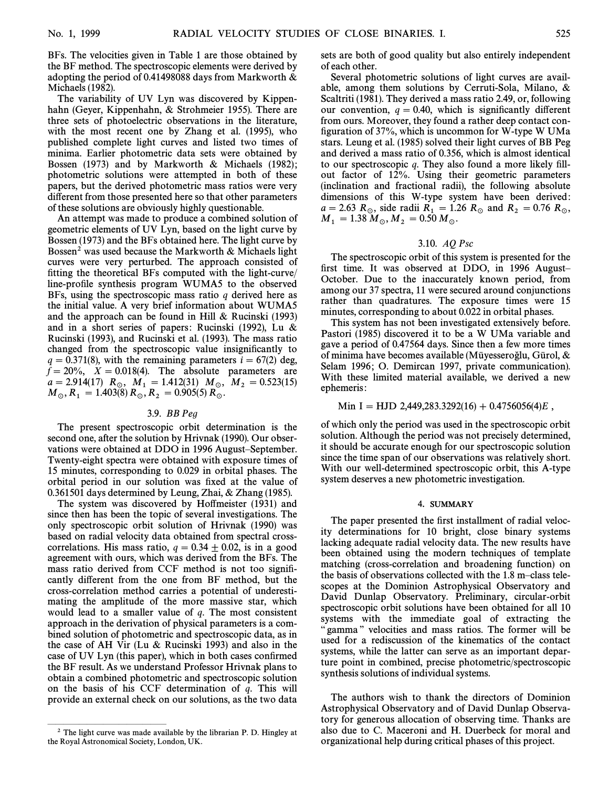BFs. The velocities given in Table 1 are those obtained by the BF method. The spectroscopic elements were derived by adopting the period of 0.41498088 days from Markworth & Michaels (1982).

The variability of UV Lyn was discovered by Kippenhahn (Geyer, Kippenhahn, & Strohmeier 1955). There are three sets of photoelectric observations in the literature, with the most recent one by Zhang et al. (1995), who published complete light curves and listed two times of minima. Earlier photometric data sets were obtained by Bossen (1973) and by Markworth & Michaels (1982); photometric solutions were attempted in both of these papers, but the derived photometric mass ratios were very different from those presented here so that other parameters of these solutions are obviously highly questionable.

An attempt was made to produce a combined solution of geometric elements of UV Lyn, based on the light curve by Bossen (1973) and the BFs obtained here. The light curve by Bossen<sup>2</sup> was used because the Markworth  $\&$  Michaels light curves were very perturbed. The approach consisted of fitting the theoretical BFs computed with the light-curve/ line-profile synthesis program WUMA5 to the observed BFs, using the spectroscopic mass ratio  $q$  derived here as the initial value. A very brief information about WUMA5 and the approach can be found in Hill  $&$  Rucinski (1993) and in a short series of papers: Rucinski (1992), Lu & Rucinski (1993), and Rucinski et al. (1993). The mass ratio changed from the spectroscopic value insignificantly to  $q = 0.371(8)$ , with the remaining parameters  $i = 67(2)$  deg,  $\bar{f} = 20\%,$   $X = 0.018(4)$ . The absolute parameters are  $a = 2.914(17)$   $R_{\odot}$ ,  $M_1 = 1.412(31)$   $M_{\odot}$ ,  $M_2 = 0.523(15)$ <br> $M_1 = 1.402(8)$   $R_1 = 0.005(5)$   $R_2 = 0.523(15)$  $M_{\odot}$ ,  $R_1 = 1.403(8) R_{\odot}$ ,  $R_2 = 0.905(5) R_{\odot}$ .

## 3.9. BB Peg

The present spectroscopic orbit determination is the second one, after the solution by Hrivnak (1990). Our observations were obtained at DDO in 1996 August-September. Twenty-eight spectra were obtained with exposure times of 15 minutes, corresponding to 0.029 in orbital phases. The orbital period in our solution was fixed at the value of 0.361501 days determined by Leung, Zhai, & Zhang (1985).

The system was discovered by Hoffmeister (1931) and since then has been the topic of several investigations. The only spectroscopic orbit solution of Hrivnak (1990) was based on radial velocity data obtained from spectral crosscorrelations. His mass ratio,  $q = 0.34 \pm 0.02$ , is in a good agreement with ours, which was derived from the BFs. The mass ratio derived from CCF method is not too signiÐcantly different from the one from BF method, but the cross-correlation method carries a potential of underestimating the amplitude of the more massive star, which would lead to a smaller value of  $q$ . The most consistent approach in the derivation of physical parameters is a combined solution of photometric and spectroscopic data, as in the case of AH Vir (Lu & Rucinski 1993) and also in the case of UV Lyn (this paper), which in both cases confirmed the BF result. As we understand Professor Hrivnak plans to obtain a combined photometric and spectroscopic solution on the basis of his CCF determination of  $q$ . This will provide an external check on our solutions, as the two data

ÈÈÈÈÈÈÈÈÈÈÈÈÈÈÈ

sets are both of good quality but also entirely independent of each other.

Several photometric solutions of light curves are available, among them solutions by Cerruti-Sola, Milano, & Scaltriti (1981). They derived a mass ratio 2.49, or, following our convention,  $q = 0.40$ , which is significantly different from ours. Moreover, they found a rather deep contact configuration of  $37\%$ , which is uncommon for W-type W UMa stars. Leung et al. (1985) solved their light curves of BB Peg and derived a mass ratio of 0.356, which is almost identical to our spectroscopic  $q$ . They also found a more likely fillout factor of 12%. Using their geometric parameters (inclination and fractional radii), the following absolute dimensions of this W-type system have been derived:  $a = 2.63$  R<sub>\opposite radii  $R_1 = 1.26$  R<sub>\opposite and R<sub>2</sub> = 0.76 R<sub>\opposite and R<sub>2</sub> = 0.76 R<sub>\opp</sub><sub>0</sub>,</sub></sub></sub>  $M_1 = 1.38 M_{\odot}, M_2 = 0.50 M_{\odot}.$ 

## 3.10. AQ Psc

The spectroscopic orbit of this system is presented for the first time. It was observed at DDO, in 1996 August-October. Due to the inaccurately known period, from among our 37 spectra, 11 were secured around conjunctions rather than quadratures. The exposure times were 15 minutes, corresponding to about 0.022 in orbital phases.

This system has not been investigated extensively before. Pastori (1985) discovered it to be a W UMa variable and gave a period of 0.47564 days. Since then a few more times of minima have becomes available (Mūyesseroğlu, Gūrol,  $\&$ Selam 1996; O. Demircan 1997, private communication). With these limited material available, we derived a new ephemeris:

## Min I = HJD 2,449,283.3292(16) + 0.4756056(4)E,

of which only the period was used in the spectroscopic orbit solution. Although the period was not precisely determined, it should be accurate enough for our spectroscopic solution since the time span of our observations was relatively short. With our well-determined spectroscopic orbit, this A-type system deserves a new photometric investigation.

## <sup>4</sup>. SUMMARY

The paper presented the first installment of radial velocity determinations for 10 bright, close binary systems lacking adequate radial velocity data. The new results have been obtained using the modern techniques of template matching (cross-correlation and broadening function) on the basis of observations collected with the  $1.8$  m–class telescopes at the Dominion Astrophysical Observatory and David Dunlap Observatory. Preliminary, circular-orbit spectroscopic orbit solutions have been obtained for all 10 systems with the immediate goal of extracting the gamma" velocities and mass ratios. The former will be used for a rediscussion of the kinematics of the contact systems, while the latter can serve as an important departure point in combined, precise photometric/spectroscopic synthesis solutions of individual systems.

The authors wish to thank the directors of Dominion Astrophysical Observatory and of David Dunlap Observatory for generous allocation of observing time. Thanks are also due to C. Maceroni and H. Duerbeck for moral and organizational help during critical phases of this project.

 $2$  The light curve was made available by the librarian P. D. Hingley at the Royal Astronomical Society, London, UK.